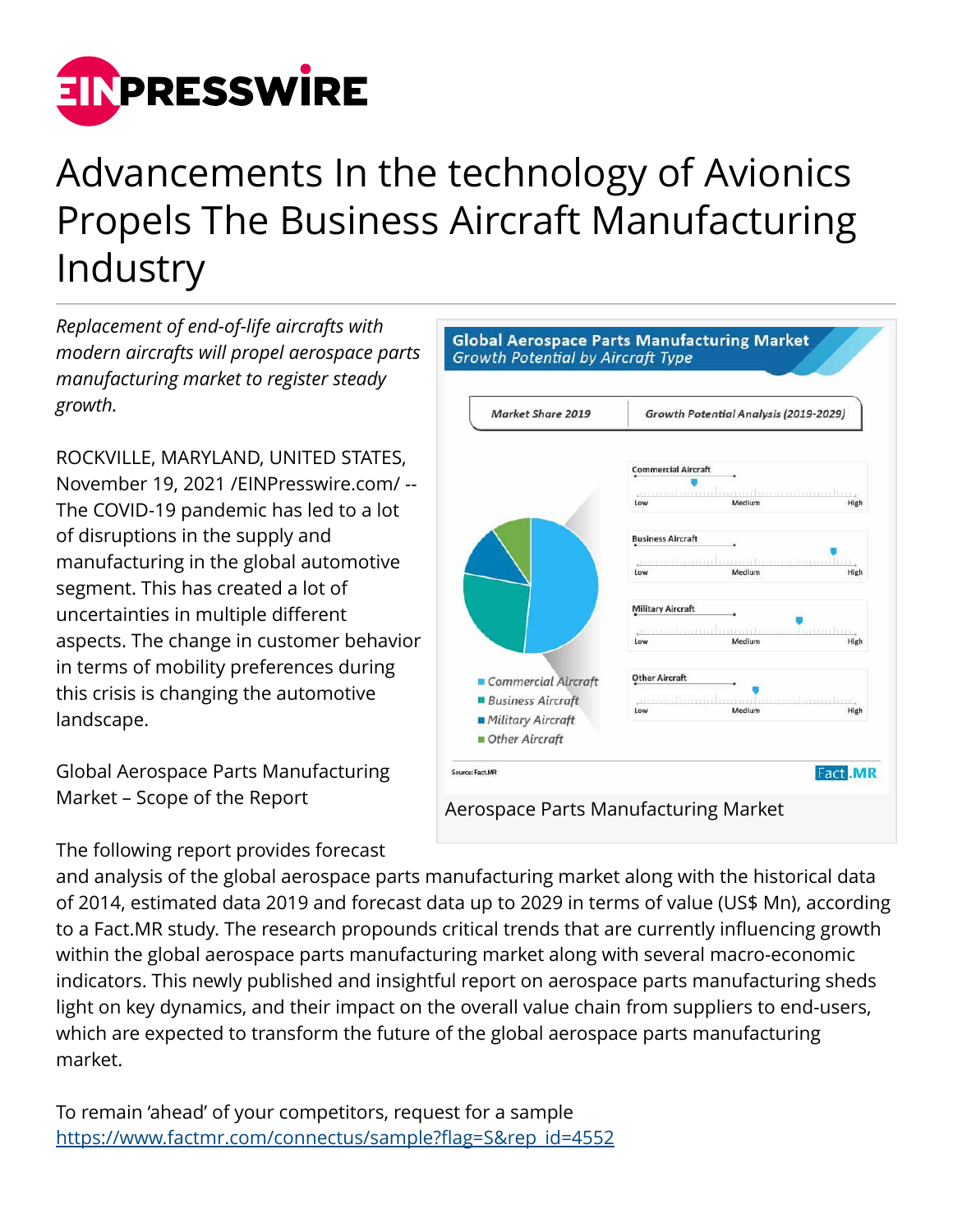

## Advancements In the technology of Avionics Propels The Business Aircraft Manufacturing Industry

*Replacement of end-of-life aircrafts with modern aircrafts will propel aerospace parts manufacturing market to register steady growth.*

ROCKVILLE, MARYLAND, UNITED STATES, November 19, 2021 /[EINPresswire.com/](http://www.einpresswire.com) -- The COVID-19 pandemic has led to a lot of disruptions in the supply and manufacturing in the global automotive segment. This has created a lot of uncertainties in multiple different aspects. The change in customer behavior in terms of mobility preferences during this crisis is changing the automotive landscape.

Global Aerospace Parts Manufacturing Market – Scope of the Report

The following report provides forecast



Aerospace Parts Manufacturing Market

and analysis of the global aerospace parts manufacturing market along with the historical data of 2014, estimated data 2019 and forecast data up to 2029 in terms of value (US\$ Mn), according to a Fact.MR study. The research propounds critical trends that are currently influencing growth within the global aerospace parts manufacturing market along with several macro-economic indicators. This newly published and insightful report on aerospace parts manufacturing sheds light on key dynamics, and their impact on the overall value chain from suppliers to end-users, which are expected to transform the future of the global aerospace parts manufacturing market.

To remain 'ahead' of your competitors, request for a sample [https://www.factmr.com/connectus/sample?flag=S&rep\\_id=4552](https://www.factmr.com/connectus/sample?flag=S&rep_id=4552)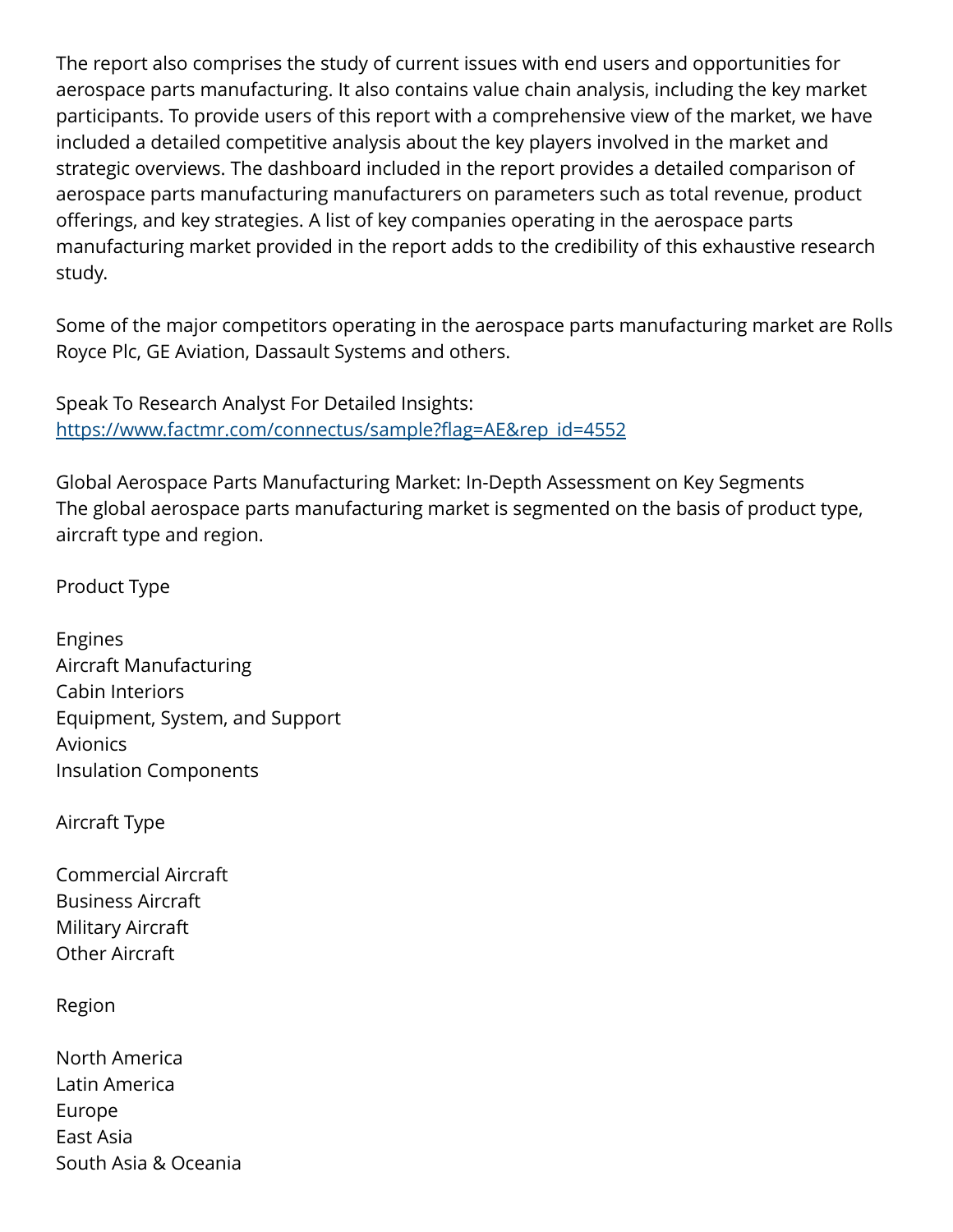The report also comprises the study of current issues with end users and opportunities for aerospace parts manufacturing. It also contains value chain analysis, including the key market participants. To provide users of this report with a comprehensive view of the market, we have included a detailed competitive analysis about the key players involved in the market and strategic overviews. The dashboard included in the report provides a detailed comparison of aerospace parts manufacturing manufacturers on parameters such as total revenue, product offerings, and key strategies. A list of key companies operating in the aerospace parts manufacturing market provided in the report adds to the credibility of this exhaustive research study.

Some of the major competitors operating in the aerospace parts manufacturing market are Rolls Royce Plc, GE Aviation, Dassault Systems and others.

Speak To Research Analyst For Detailed Insights: [https://www.factmr.com/connectus/sample?flag=AE&rep\\_id=4552](https://www.factmr.com/connectus/sample?flag=AE&rep_id=4552)

Global Aerospace Parts Manufacturing Market: In-Depth Assessment on Key Segments The global aerospace parts manufacturing market is segmented on the basis of product type, aircraft type and region.

Product Type

Engines Aircraft Manufacturing Cabin Interiors Equipment, System, and Support Avionics Insulation Components

Aircraft Type

Commercial Aircraft Business Aircraft Military Aircraft Other Aircraft

Region

North America Latin America Europe East Asia South Asia & Oceania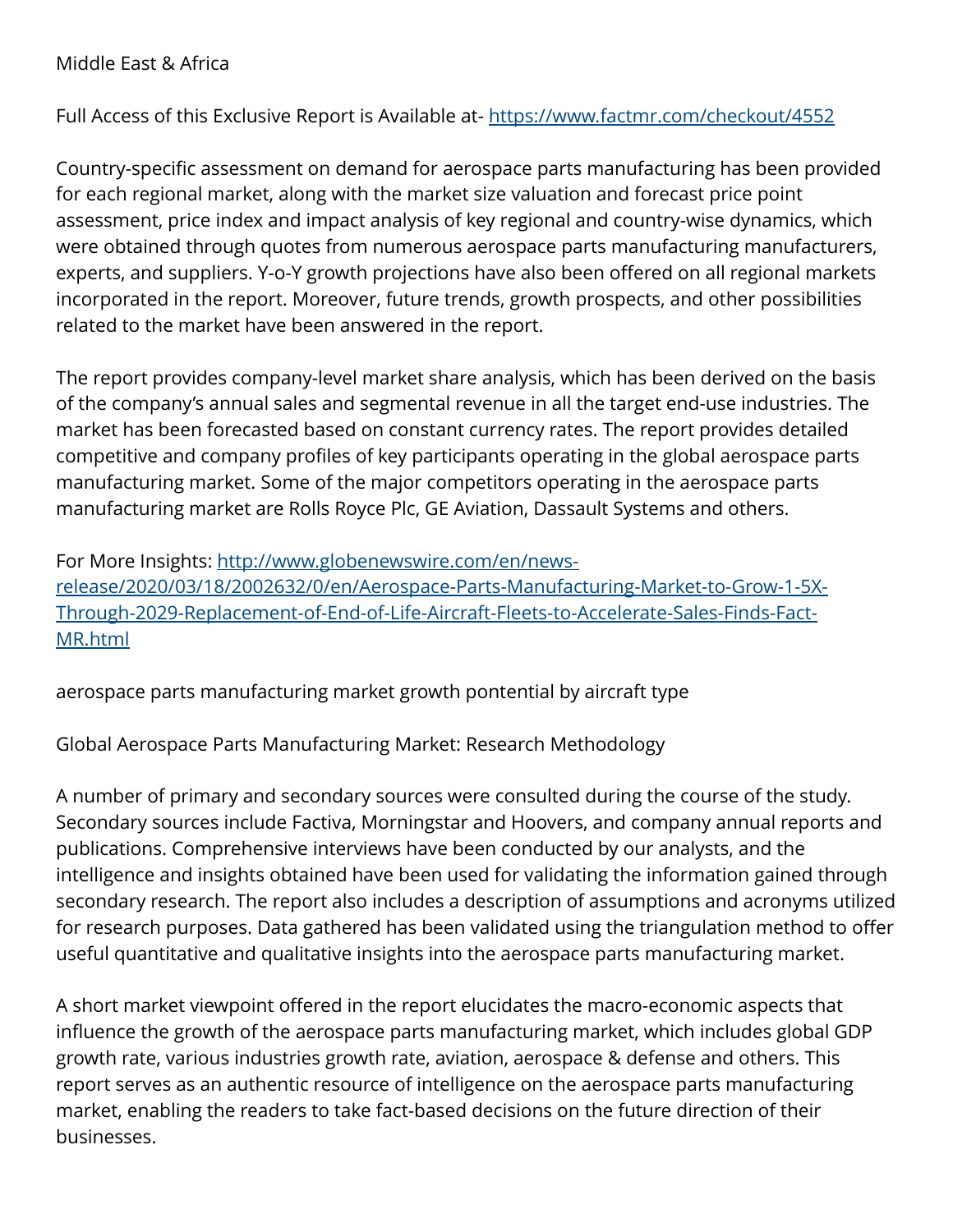## Middle East & Africa

Full Access of this Exclusive Report is Available at-<https://www.factmr.com/checkout/4552>

Country-specific assessment on demand for aerospace parts manufacturing has been provided for each regional market, along with the market size valuation and forecast price point assessment, price index and impact analysis of key regional and country-wise dynamics, which were obtained through quotes from numerous aerospace parts manufacturing manufacturers, experts, and suppliers. Y-o-Y growth projections have also been offered on all regional markets incorporated in the report. Moreover, future trends, growth prospects, and other possibilities related to the market have been answered in the report.

The report provides company-level market share analysis, which has been derived on the basis of the company's annual sales and segmental revenue in all the target end-use industries. The market has been forecasted based on constant currency rates. The report provides detailed competitive and company profiles of key participants operating in the global aerospace parts manufacturing market. Some of the major competitors operating in the aerospace parts manufacturing market are Rolls Royce Plc, GE Aviation, Dassault Systems and others.

For More Insights: [http://www.globenewswire.com/en/news](http://www.globenewswire.com/en/news-release/2020/03/18/2002632/0/en/Aerospace-Parts-Manufacturing-Market-to-Grow-1-5X-Through-2029-Replacement-of-End-of-Life-Aircraft-Fleets-to-Accelerate-Sales-Finds-Fact-MR.html)[release/2020/03/18/2002632/0/en/Aerospace-Parts-Manufacturing-Market-to-Grow-1-5X-](http://www.globenewswire.com/en/news-release/2020/03/18/2002632/0/en/Aerospace-Parts-Manufacturing-Market-to-Grow-1-5X-Through-2029-Replacement-of-End-of-Life-Aircraft-Fleets-to-Accelerate-Sales-Finds-Fact-MR.html)[Through-2029-Replacement-of-End-of-Life-Aircraft-Fleets-to-Accelerate-Sales-Finds-Fact-](http://www.globenewswire.com/en/news-release/2020/03/18/2002632/0/en/Aerospace-Parts-Manufacturing-Market-to-Grow-1-5X-Through-2029-Replacement-of-End-of-Life-Aircraft-Fleets-to-Accelerate-Sales-Finds-Fact-MR.html)[MR.html](http://www.globenewswire.com/en/news-release/2020/03/18/2002632/0/en/Aerospace-Parts-Manufacturing-Market-to-Grow-1-5X-Through-2029-Replacement-of-End-of-Life-Aircraft-Fleets-to-Accelerate-Sales-Finds-Fact-MR.html)

aerospace parts manufacturing market growth pontential by aircraft type

Global Aerospace Parts Manufacturing Market: Research Methodology

A number of primary and secondary sources were consulted during the course of the study. Secondary sources include Factiva, Morningstar and Hoovers, and company annual reports and publications. Comprehensive interviews have been conducted by our analysts, and the intelligence and insights obtained have been used for validating the information gained through secondary research. The report also includes a description of assumptions and acronyms utilized for research purposes. Data gathered has been validated using the triangulation method to offer useful quantitative and qualitative insights into the aerospace parts manufacturing market.

A short market viewpoint offered in the report elucidates the macro-economic aspects that influence the growth of the aerospace parts manufacturing market, which includes global GDP growth rate, various industries growth rate, aviation, aerospace & defense and others. This report serves as an authentic resource of intelligence on the aerospace parts manufacturing market, enabling the readers to take fact-based decisions on the future direction of their businesses.